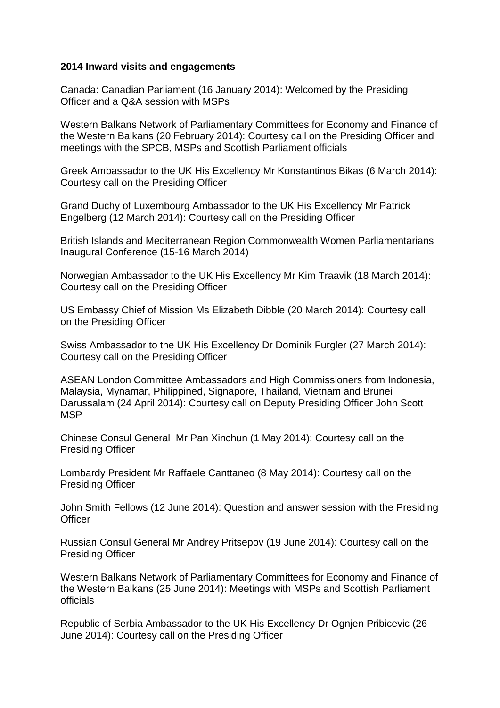## **2014 Inward visits and engagements**

Canada: Canadian Parliament (16 January 2014): Welcomed by the Presiding Officer and a Q&A session with MSPs

Western Balkans Network of Parliamentary Committees for Economy and Finance of the Western Balkans (20 February 2014): Courtesy call on the Presiding Officer and meetings with the SPCB, MSPs and Scottish Parliament officials

Greek Ambassador to the UK His Excellency Mr Konstantinos Bikas (6 March 2014): Courtesy call on the Presiding Officer

Grand Duchy of Luxembourg Ambassador to the UK His Excellency Mr Patrick Engelberg (12 March 2014): Courtesy call on the Presiding Officer

British Islands and Mediterranean Region Commonwealth Women Parliamentarians Inaugural Conference (15-16 March 2014)

Norwegian Ambassador to the UK His Excellency Mr Kim Traavik (18 March 2014): Courtesy call on the Presiding Officer

US Embassy Chief of Mission Ms Elizabeth Dibble (20 March 2014): Courtesy call on the Presiding Officer

Swiss Ambassador to the UK His Excellency Dr Dominik Furgler (27 March 2014): Courtesy call on the Presiding Officer

ASEAN London Committee Ambassadors and High Commissioners from Indonesia, Malaysia, Mynamar, Philippined, Signapore, Thailand, Vietnam and Brunei Darussalam (24 April 2014): Courtesy call on Deputy Presiding Officer John Scott **MSP** 

Chinese Consul General Mr Pan Xinchun (1 May 2014): Courtesy call on the Presiding Officer

Lombardy President Mr Raffaele Canttaneo (8 May 2014): Courtesy call on the Presiding Officer

John Smith Fellows (12 June 2014): Question and answer session with the Presiding **Officer** 

Russian Consul General Mr Andrey Pritsepov (19 June 2014): Courtesy call on the Presiding Officer

Western Balkans Network of Parliamentary Committees for Economy and Finance of the Western Balkans (25 June 2014): Meetings with MSPs and Scottish Parliament officials

Republic of Serbia Ambassador to the UK His Excellency Dr Ognjen Pribicevic (26 June 2014): Courtesy call on the Presiding Officer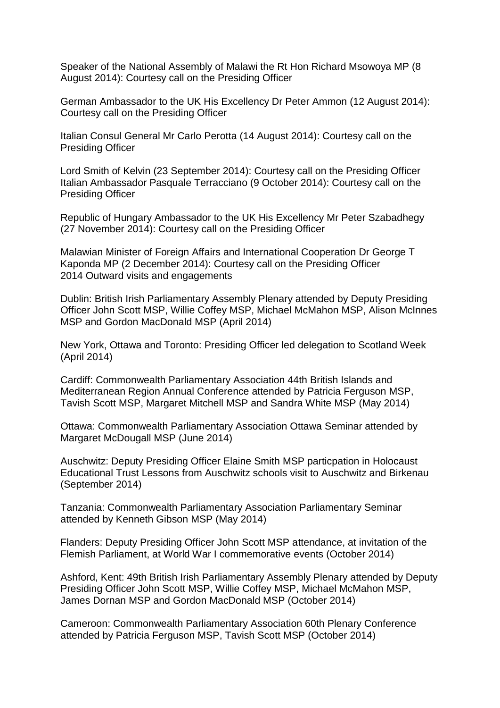Speaker of the National Assembly of Malawi the Rt Hon Richard Msowoya MP (8 August 2014): Courtesy call on the Presiding Officer

German Ambassador to the UK His Excellency Dr Peter Ammon (12 August 2014): Courtesy call on the Presiding Officer

Italian Consul General Mr Carlo Perotta (14 August 2014): Courtesy call on the Presiding Officer

Lord Smith of Kelvin (23 September 2014): Courtesy call on the Presiding Officer Italian Ambassador Pasquale Terracciano (9 October 2014): Courtesy call on the Presiding Officer

Republic of Hungary Ambassador to the UK His Excellency Mr Peter Szabadhegy (27 November 2014): Courtesy call on the Presiding Officer

Malawian Minister of Foreign Affairs and International Cooperation Dr George T Kaponda MP (2 December 2014): Courtesy call on the Presiding Officer 2014 Outward visits and engagements

Dublin: British Irish Parliamentary Assembly Plenary attended by Deputy Presiding Officer John Scott MSP, Willie Coffey MSP, Michael McMahon MSP, Alison McInnes MSP and Gordon MacDonald MSP (April 2014)

New York, Ottawa and Toronto: Presiding Officer led delegation to Scotland Week (April 2014)

Cardiff: Commonwealth Parliamentary Association 44th British Islands and Mediterranean Region Annual Conference attended by Patricia Ferguson MSP, Tavish Scott MSP, Margaret Mitchell MSP and Sandra White MSP (May 2014)

Ottawa: Commonwealth Parliamentary Association Ottawa Seminar attended by Margaret McDougall MSP (June 2014)

Auschwitz: Deputy Presiding Officer Elaine Smith MSP particpation in Holocaust Educational Trust Lessons from Auschwitz schools visit to Auschwitz and Birkenau (September 2014)

Tanzania: Commonwealth Parliamentary Association Parliamentary Seminar attended by Kenneth Gibson MSP (May 2014)

Flanders: Deputy Presiding Officer John Scott MSP attendance, at invitation of the Flemish Parliament, at World War I commemorative events (October 2014)

Ashford, Kent: 49th British Irish Parliamentary Assembly Plenary attended by Deputy Presiding Officer John Scott MSP, Willie Coffey MSP, Michael McMahon MSP, James Dornan MSP and Gordon MacDonald MSP (October 2014)

Cameroon: Commonwealth Parliamentary Association 60th Plenary Conference attended by Patricia Ferguson MSP, Tavish Scott MSP (October 2014)